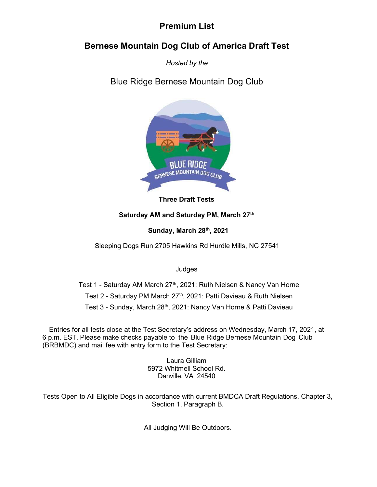# Premium List

# Bernese Mountain Dog Club of America Draft Test

Hosted by the

Blue Ridge Bernese Mountain Dog Club



Three Draft Tests

## Saturday AM and Saturday PM, March 27th

Sunday, March 28th, 2021

Sleeping Dogs Run 2705 Hawkins Rd Hurdle Mills, NC 27541

Judges

Test 1 - Saturday AM March 27<sup>th</sup>, 2021: Ruth Nielsen & Nancy Van Horne Test 2 - Saturday PM March 27<sup>th</sup>, 2021: Patti Davieau & Ruth Nielsen Test 3 - Sunday, March 28<sup>th</sup>, 2021: Nancy Van Horne & Patti Davieau

Entries for all tests close at the Test Secretary's address on Wednesday, March 17, 2021, at 6 p.m. EST. Please make checks payable to the Blue Ridge Bernese Mountain Dog Club (BRBMDC) and mail fee with entry form to the Test Secretary:

> Laura Gilliam 5972 Whitmell School Rd. Danville, VA 24540

Tests Open to All Eligible Dogs in accordance with current BMDCA Draft Regulations, Chapter 3, Section 1, Paragraph B.

All Judging Will Be Outdoors.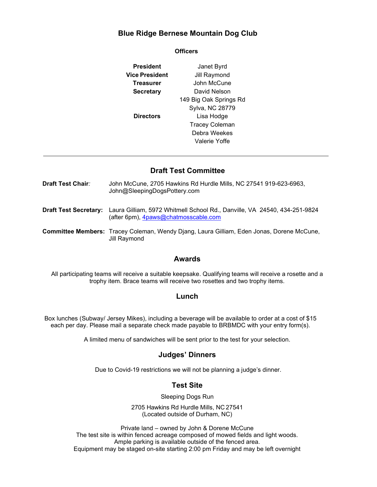## Blue Ridge Bernese Mountain Dog Club

| President        | Janet Byrd             |  |  |
|------------------|------------------------|--|--|
| Vice President   | Jill Raymond           |  |  |
| <b>Treasurer</b> | John McCune            |  |  |
| <b>Secretary</b> | David Nelson           |  |  |
|                  | 149 Big Oak Springs Rd |  |  |
|                  | Sylva, NC 28779        |  |  |
| <b>Directors</b> | Lisa Hodge             |  |  |
|                  | <b>Tracey Coleman</b>  |  |  |
|                  | Debra Weekes           |  |  |
|                  | Valerie Yoffe          |  |  |

## Draft Test Committee

Draft Test Chair: John McCune, 2705 Hawkins Rd Hurdle Mills, NC 27541 919-623-6963, John@SleepingDogsPottery.com

Draft Test Secretary: Laura Gilliam, 5972 Whitmell School Rd., Danville, VA 24540, 434-251-9824 (after 6pm), 4paws@chatmosscable.com

Committee Members: Tracey Coleman, Wendy Djang, Laura Gilliam, Eden Jonas, Dorene McCune, Jill Raymond

### Awards

All participating teams will receive a suitable keepsake. Qualifying teams will receive a rosette and a trophy item. Brace teams will receive two rosettes and two trophy items.

#### Lunch

Box lunches (Subway/ Jersey Mikes), including a beverage will be available to order at a cost of \$15 each per day. Please mail a separate check made payable to BRBMDC with your entry form(s).

A limited menu of sandwiches will be sent prior to the test for your selection.

### Judges' Dinners

Due to Covid-19 restrictions we will not be planning a judge's dinner.

### Test Site

Sleeping Dogs Run

2705 Hawkins Rd Hurdle Mills, NC 27541 (Located outside of Durham, NC)

Private land – owned by John & Dorene McCune The test site is within fenced acreage composed of mowed fields and light woods. Ample parking is available outside of the fenced area. Equipment may be staged on-site starting 2:00 pm Friday and may be left overnight

#### **Officers**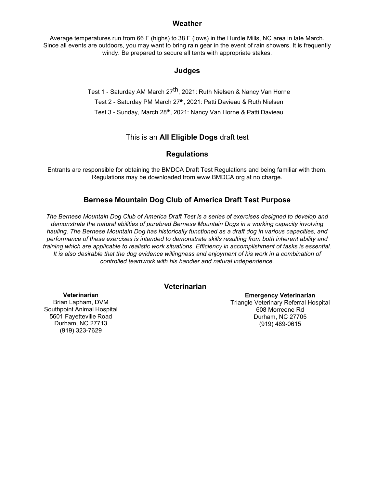### **Weather**

Average temperatures run from 66 F (highs) to 38 F (lows) in the Hurdle Mills, NC area in late March. Since all events are outdoors, you may want to bring rain gear in the event of rain showers. It is frequently windy. Be prepared to secure all tents with appropriate stakes.

### Judges

Test 1 - Saturday AM March 27<sup>th</sup>, 2021: Ruth Nielsen & Nancy Van Horne Test 2 - Saturday PM March 27<sup>th</sup>, 2021: Patti Davieau & Ruth Nielsen Test 3 - Sunday, March 28<sup>th</sup>, 2021: Nancy Van Horne & Patti Davieau

### This is an All Eligible Dogs draft test

### **Regulations**

Entrants are responsible for obtaining the BMDCA Draft Test Regulations and being familiar with them. Regulations may be downloaded from www.BMDCA.org at no charge.

### Bernese Mountain Dog Club of America Draft Test Purpose

The Bernese Mountain Dog Club of America Draft Test is a series of exercises designed to develop and demonstrate the natural abilities of purebred Bernese Mountain Dogs in a working capacity involving hauling. The Bernese Mountain Dog has historically functioned as a draft dog in various capacities, and performance of these exercises is intended to demonstrate skills resulting from both inherent ability and training which are applicable to realistic work situations. Efficiency in accomplishment of tasks is essential. It is also desirable that the dog evidence willingness and enjoyment of his work in a combination of controlled teamwork with his handler and natural independence.

### Veterinarian

**Veterinarian** Brian Lapham, DVM Southpoint Animal Hospital 5601 Fayetteville Road Durham, NC 27713 (919) 323-7629

Emergency Veterinarian Triangle Veterinary Referral Hospital 608 Morreene Rd Durham, NC 27705 (919) 489-0615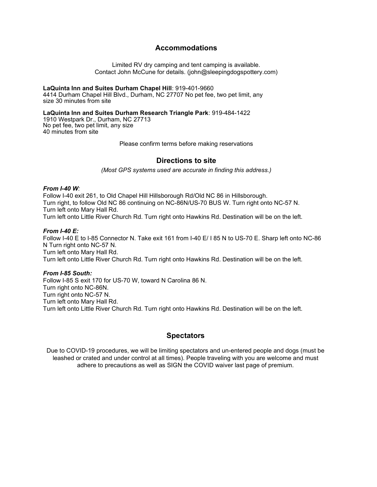### Accommodations

Limited RV dry camping and tent camping is available. Contact John McCune for details. (john@sleepingdogspottery.com)

LaQuinta Inn and Suites Durham Chapel Hill: 919-401-9660 4414 Durham Chapel Hill Blvd., Durham, NC 27707 No pet fee, two pet limit, any size 30 minutes from site

LaQuinta Inn and Suites Durham Research Triangle Park: 919-484-1422 1910 Westpark Dr., Durham, NC 27713 No pet fee, two pet limit, any size 40 minutes from site

Please confirm terms before making reservations

### Directions to site

(Most GPS systems used are accurate in finding this address.)

#### From  $I-40 W$

Follow I-40 exit 261, to Old Chapel Hill Hillsborough Rd/Old NC 86 in Hillsborough. Turn right, to follow Old NC 86 continuing on NC-86N/US-70 BUS W. Turn right onto NC-57 N. Turn left onto Mary Hall Rd. Turn left onto Little River Church Rd. Turn right onto Hawkins Rd. Destination will be on the left.

#### From I-40 E:

Follow I-40 E to I-85 Connector N. Take exit 161 from I-40 E/ I 85 N to US-70 E. Sharp left onto NC-86 N Turn right onto NC-57 N. Turn left onto Mary Hall Rd. Turn left onto Little River Church Rd. Turn right onto Hawkins Rd. Destination will be on the left.

#### From I-85 South:

Follow I-85 S exit 170 for US-70 W, toward N Carolina 86 N. Turn right onto NC-86N. Turn right onto NC-57 N. Turn left onto Mary Hall Rd. Turn left onto Little River Church Rd. Turn right onto Hawkins Rd. Destination will be on the left.

## **Spectators**

Due to COVID-19 procedures, we will be limiting spectators and un-entered people and dogs (must be leashed or crated and under control at all times). People traveling with you are welcome and must adhere to precautions as well as SIGN the COVID waiver last page of premium.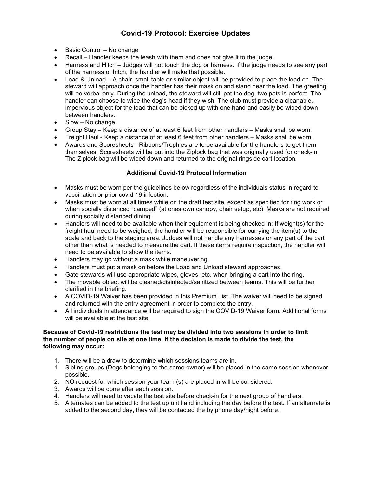## Covid-19 Protocol: Exercise Updates

- Basic Control No change
- Recall Handler keeps the leash with them and does not give it to the judge.
- Harness and Hitch Judges will not touch the dog or harness. If the judge needs to see any part of the harness or hitch, the handler will make that possible.
- Load & Unload A chair, small table or similar object will be provided to place the load on. The steward will approach once the handler has their mask on and stand near the load. The greeting will be verbal only. During the unload, the steward will still pat the dog, two pats is perfect. The handler can choose to wipe the dog's head if they wish. The club must provide a cleanable, impervious object for the load that can be picked up with one hand and easily be wiped down between handlers.
- Slow No change.
- Group Stay Keep a distance of at least 6 feet from other handlers Masks shall be worn.
- Freight Haul Keep a distance of at least 6 feet from other handlers Masks shall be worn.
- Awards and Scoresheets Ribbons/Trophies are to be available for the handlers to get them themselves. Scoresheets will be put into the Ziplock bag that was originally used for check-in. The Ziplock bag will be wiped down and returned to the original ringside cart location.

### Additional Covid-19 Protocol Information

- Masks must be worn per the guidelines below regardless of the individuals status in regard to vaccination or prior covid-19 infection.
- Masks must be worn at all times while on the draft test site, except as specified for ring work or when socially distanced "camped" (at ones own canopy, chair setup, etc) Masks are not required during socially distanced dining.
- Handlers will need to be available when their equipment is being checked in: If weight(s) for the freight haul need to be weighed, the handler will be responsible for carrying the item(s) to the scale and back to the staging area. Judges will not handle any harnesses or any part of the cart other than what is needed to measure the cart. If these items require inspection, the handler will need to be available to show the items.
- Handlers may go without a mask while maneuvering.
- Handlers must put a mask on before the Load and Unload steward approaches.
- Gate stewards will use appropriate wipes, gloves, etc. when bringing a cart into the ring.
- The movable object will be cleaned/disinfected/sanitized between teams. This will be further clarified in the briefing.
- A COVID-19 Waiver has been provided in this Premium List. The waiver will need to be signed and returned with the entry agreement in order to complete the entry.
- All individuals in attendance will be required to sign the COVID-19 Waiver form. Additional forms will be available at the test site.

#### Because of Covid-19 restrictions the test may be divided into two sessions in order to limit the number of people on site at one time. If the decision is made to divide the test, the following may occur:

- 1. There will be a draw to determine which sessions teams are in.
- 1. Sibling groups (Dogs belonging to the same owner) will be placed in the same session whenever possible.
- 2. NO request for which session your team (s) are placed in will be considered.
- 3. Awards will be done after each session.
- 4. Handlers will need to vacate the test site before check-in for the next group of handlers.
- 5. Alternates can be added to the test up until and including the day before the test. If an alternate is added to the second day, they will be contacted the by phone day/night before.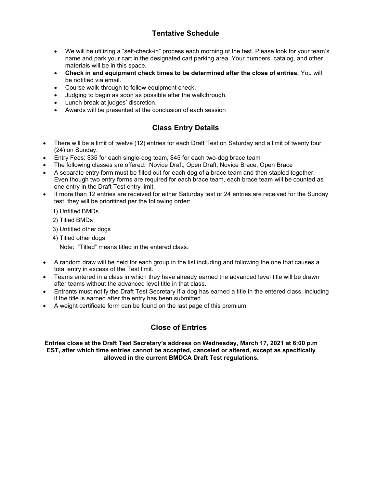# Tentative Schedule

- We will be utilizing a "self-check-in" process each morning of the test. Please look for your team's name and park your cart in the designated cart parking area. Your numbers, catalog, and other materials will be in this space.
- Check in and equipment check times to be determined after the close of entries. You will be notified via email.
- Course walk-through to follow equipment check.
- Judging to begin as soon as possible after the walkthrough.
- Lunch break at judges' discretion.
- Awards will be presented at the conclusion of each session

## Class Entry Details

- There will be a limit of twelve (12) entries for each Draft Test on Saturday and a limit of twenty four (24) on Sunday.
- Entry Fees: \$35 for each single-dog team, \$45 for each two-dog brace team
- The following classes are offered: Novice Draft, Open Draft, Novice Brace, Open Brace
- A separate entry form must be filled out for each dog of a brace team and then stapled together. Even though two entry forms are required for each brace team, each brace team will be counted as one entry in the Draft Test entry limit.
- If more than 12 entries are received for either Saturday test or 24 entries are received for the Sunday test, they will be prioritized per the following order:

1) Untitled BMDs

- 2) Titled BMDs
- 3) Untitled other dogs
- 4) Titled other dogs

Note: "Titled" means titled in the entered class.

- A random draw will be held for each group in the list including and following the one that causes a total entry in excess of the Test limit.
- Teams entered in a class in which they have already earned the advanced level title will be drawn after teams without the advanced level title in that class.
- Entrants must notify the Draft Test Secretary if a dog has earned a title in the entered class, including if the title is earned after the entry has been submitted.
- A weight certificate form can be found on the last page of this premium

## Close of Entries

Entries close at the Draft Test Secretary's address on Wednesday, March 17, 2021 at 6:00 p.m EST, after which time entries cannot be accepted, canceled or altered, except as specifically allowed in the current BMDCA Draft Test regulations.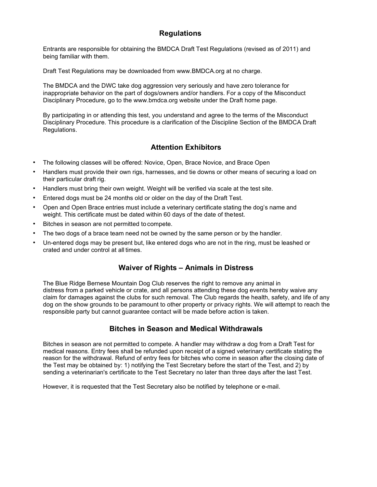## Regulations

Entrants are responsible for obtaining the BMDCA Draft Test Regulations (revised as of 2011) and being familiar with them.

Draft Test Regulations may be downloaded from www.BMDCA.org at no charge.

The BMDCA and the DWC take dog aggression very seriously and have zero tolerance for inappropriate behavior on the part of dogs/owners and/or handlers. For a copy of the Misconduct Disciplinary Procedure, go to the www.bmdca.org website under the Draft home page.

By participating in or attending this test, you understand and agree to the terms of the Misconduct Disciplinary Procedure. This procedure is a clarification of the Discipline Section of the BMDCA Draft Regulations.

## Attention Exhibitors

- The following classes will be offered: Novice, Open, Brace Novice, and Brace Open
- Handlers must provide their own rigs, harnesses, and tie downs or other means of securing a load on their particular draft rig.
- Handlers must bring their own weight. Weight will be verified via scale at the test site.
- Entered dogs must be 24 months old or older on the day of the Draft Test.
- Open and Open Brace entries must include a veterinary certificate stating the dog's name and weight. This certificate must be dated within 60 days of the date of the test.
- Bitches in season are not permitted to compete.
- The two dogs of a brace team need not be owned by the same person or by the handler.
- Un-entered dogs may be present but, like entered dogs who are not in the ring, must be leashed or crated and under control at all times.

## Waiver of Rights – Animals in Distress

The Blue Ridge Bernese Mountain Dog Club reserves the right to remove any animal in distress from a parked vehicle or crate, and all persons attending these dog events hereby waive any claim for damages against the clubs for such removal. The Club regards the health, safety, and life of any dog on the show grounds to be paramount to other property or privacy rights. We will attempt to reach the responsible party but cannot guarantee contact will be made before action is taken.

## Bitches in Season and Medical Withdrawals

Bitches in season are not permitted to compete. A handler may withdraw a dog from a Draft Test for medical reasons. Entry fees shall be refunded upon receipt of a signed veterinary certificate stating the reason for the withdrawal. Refund of entry fees for bitches who come in season after the closing date of the Test may be obtained by: 1) notifying the Test Secretary before the start of the Test, and 2) by sending a veterinarian's certificate to the Test Secretary no later than three days after the last Test.

However, it is requested that the Test Secretary also be notified by telephone or e-mail.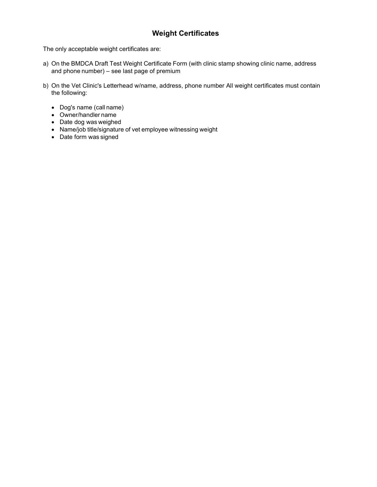# Weight Certificates

The only acceptable weight certificates are:

- a) On the BMDCA Draft Test Weight Certificate Form (with clinic stamp showing clinic name, address and phone number) – see last page of premium
- b) On the Vet Clinic's Letterhead w/name, address, phone number All weight certificates must contain the following:
	- Dog's name (call name)
	- Owner/handler name
	- Date dog was weighed
	- Name/job title/signature of vet employee witnessing weight
	- Date form was signed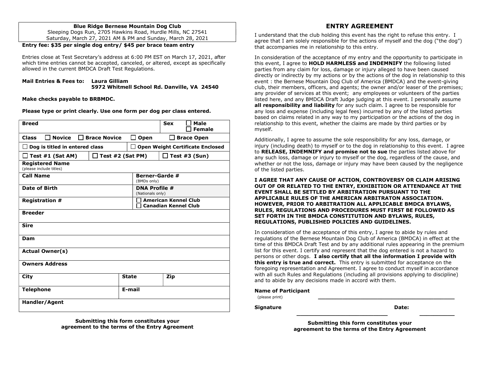#### Blue Ridge Bernese Mountain Dog Club

Sleeping Dogs Run, 2705 Hawkins Road, Hurdle Mills, NC 27541 Saturday, March 27, 2021 AM & PM and Sunday, March 28, 2021

#### Entry fee: \$35 per single dog entry/ \$45 per brace team entry

Entries close at Test Secretary's address at 6:00 PM EST on March 17, 2021, after which time entries cannot be accepted, canceled, or altered, except as specifically allowed in the current BMDCA Draft Test Regulations.

#### Mail Entries & Fees to: Laura Gilliam 5972 Whitmell School Rd. Danville, VA 24540

Make checks payable to BRBMDC.

Please type or print clearly. Use one form per dog per class entered.

| <b>Breed</b>                                                                                |                      | <b>Sex</b><br>Male<br><b>Female</b>                        |  |  |  |
|---------------------------------------------------------------------------------------------|----------------------|------------------------------------------------------------|--|--|--|
| <b>Novice</b><br><b>Class</b><br><b>Brace Novice</b>                                        | Open<br>$\mathsf{L}$ | <b>Brace Open</b>                                          |  |  |  |
| Dog is titled in entered class<br><b>Open Weight Certificate Enclosed</b><br>$\blacksquare$ |                      |                                                            |  |  |  |
| Test #1 (Sat AM)                                                                            | Test #2 (Sat PM)     | Test $#3$ (Sun)                                            |  |  |  |
| <b>Registered Name</b><br>(please include titles)                                           |                      |                                                            |  |  |  |
| <b>Call Name</b>                                                                            |                      | <b>Berner-Garde #</b><br>(BMDs only)                       |  |  |  |
| Date of Birth                                                                               |                      | <b>DNA Profile #</b><br>(Nationals only)                   |  |  |  |
| <b>Registration #</b>                                                                       |                      | <b>American Kennel Club</b><br><b>Canadian Kennel Club</b> |  |  |  |
| <b>Breeder</b>                                                                              |                      |                                                            |  |  |  |
| <b>Sire</b>                                                                                 |                      |                                                            |  |  |  |
| Dam                                                                                         |                      |                                                            |  |  |  |
| <b>Actual Owner(s)</b>                                                                      |                      |                                                            |  |  |  |
| <b>Owners Address</b>                                                                       |                      |                                                            |  |  |  |
| City                                                                                        | <b>State</b>         | Zip                                                        |  |  |  |
| <b>Telephone</b>                                                                            | E-mail               |                                                            |  |  |  |
| <b>Handler/Agent</b>                                                                        |                      |                                                            |  |  |  |

Submitting this form constitutes your agreement to the terms of the Entry Agreement

#### ENTRY AGREEMENT

I understand that the club holding this event has the right to refuse this entry. I agree that I am solely responsible for the actions of myself and the dog ("the dog") that accompanies me in relationship to this entry.

In consideration of the acceptance of my entry and the opportunity to participate in this event, I agree to **HOLD HARMLESS and INDEMNIFY** the following listed parties from any claim for loss, damage or injury alleged to have been caused directly or indirectly by my actions or by the actions of the dog in relationship to this event : the Bernese Mountain Dog Club of America (BMDCA) and the event-giving club, their members, officers, and agents; the owner and/or leaser of the premises; any provider of services at this event; any employees or volunteers of the parties listed here, and any BMDCA Draft Judge judging at this event. I personally assume all responsibility and liability for any such claim. I agree to be responsible for any loss and expense (including legal fees) incurred by any of the listed parties based on claims related in any way to my participation or the actions of the dog in relationship to this event, whether the claims are made by third parties or by myself.

Additionally, I agree to assume the sole responsibility for any loss, damage, or injury (including death) to myself or to the dog in relationship to this event. I agree to RELEASE, INDEMNIFY and promise not to sue the parties listed above for any such loss, damage or injury to myself or the dog, regardless of the cause, and whether or not the loss, damage or injury may have been caused by the negligence of the listed parties.

I AGREE THAT ANY CAUSE OF ACTION, CONTROVERSY OR CLAIM ARISING OUT OF OR RELATED TO THE ENTRY, EXHIBITION OR ATTENDANCE AT THE EVENT SHALL BE SETTLED BY ARBITRATION PURSUANT TO THE APPLICABLE RULES OF THE AMERICAN ARBITRATON ASSOCIATION. HOWEVER, PRIOR TO ARBITRATION ALL APPLICABLE BMDCA BYLAWS, RULES, REGULATIONS AND PROCEDURES MUST FIRST BE FOLLOWED AS SET FORTH IN THE BMDCA CONSTITUTION AND BYLAWS, RULES, REGULATIONS, PUBLISHED POLICIES AND GUIDELINES.

In consideration of the acceptance of this entry, I agree to abide by rules and regulations of the Bernese Mountain Dog Club of America (BMDCA) in effect at the time of this BMDCA Draft Test and by any additional rules appearing in the premium list for this event. I certify and represent that the dog entered is not a hazard to persons or other dogs. I also certify that all the information I provide with this entry is true and correct. This entry is submitted for acceptance on the foregoing representation and Agreement. I agree to conduct myself in accordance with all such Rules and Regulations (including all provisions applying to discipline) and to abide by any decisions made in accord with them.

#### Name of Participant

(please print) \_\_\_\_\_\_\_\_\_\_\_\_\_\_\_\_\_\_\_\_\_\_\_\_\_\_\_\_\_\_\_\_\_\_\_\_\_\_\_ Signature

Date:

 $\overline{\phantom{a}}$ 

Submitting this form constitutes your agreement to the terms of the Entry Agreement

\_\_\_\_\_\_\_\_\_\_\_\_\_\_\_\_\_\_\_\_\_\_\_\_\_\_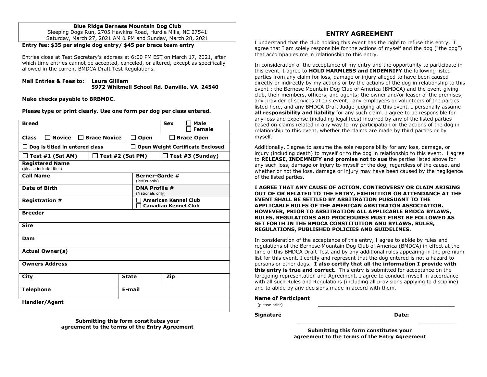#### Blue Ridge Bernese Mountain Dog Club

Sleeping Dogs Run, 2705 Hawkins Road, Hurdle Mills, NC 27541 Saturday, March 27, 2021 AM & PM and Sunday, March 28, 2021

#### Entry fee: \$35 per single dog entry/ \$45 per brace team entry

Entries close at Test Secretary's address at 6:00 PM EST on March 17, 2021, after which time entries cannot be accepted, canceled, or altered, except as specifically allowed in the current BMDCA Draft Test Regulations.

#### Mail Entries & Fees to: Laura Gilliam 5972 Whitmell School Rd. Danville, VA 24540

Make checks payable to BRBMDC.

Please type or print clearly. Use one form per dog per class entered.

| <b>Breed</b>                                                                     |                     |                      | <b>Sex</b><br>Male<br><b>Female</b>                        |  |  |
|----------------------------------------------------------------------------------|---------------------|----------------------|------------------------------------------------------------|--|--|
| <b>Novice</b><br><b>Class</b>                                                    | <b>Brace Novice</b> | Open<br>$\mathsf{L}$ | <b>Brace Open</b>                                          |  |  |
| <b>Open Weight Certificate Enclosed</b><br>Dog is titled in entered class<br>- 1 |                     |                      |                                                            |  |  |
| Test #1 (Sat AM)                                                                 | Test #2 (Sat PM)    |                      | Test #3 (Sunday)<br>$\mathbf{L}$                           |  |  |
| <b>Registered Name</b><br>(please include titles)                                |                     |                      |                                                            |  |  |
| <b>Call Name</b>                                                                 |                     |                      | <b>Berner-Garde #</b><br>(BMDs only)                       |  |  |
| <b>Date of Birth</b>                                                             |                     |                      | <b>DNA Profile #</b><br>(Nationals only)                   |  |  |
| <b>Registration #</b>                                                            |                     |                      | <b>American Kennel Club</b><br><b>Canadian Kennel Club</b> |  |  |
| <b>Breeder</b>                                                                   |                     |                      |                                                            |  |  |
| <b>Sire</b>                                                                      |                     |                      |                                                            |  |  |
| Dam                                                                              |                     |                      |                                                            |  |  |
| <b>Actual Owner(s)</b>                                                           |                     |                      |                                                            |  |  |
| <b>Owners Address</b>                                                            |                     |                      |                                                            |  |  |
| City                                                                             |                     | <b>State</b>         | Zip                                                        |  |  |
| <b>Telephone</b>                                                                 |                     | E-mail               |                                                            |  |  |
| Handler/Agent                                                                    |                     |                      |                                                            |  |  |

Submitting this form constitutes your agreement to the terms of the Entry Agreement

#### ENTRY AGREEMENT

I understand that the club holding this event has the right to refuse this entry. I agree that I am solely responsible for the actions of myself and the dog ("the dog") that accompanies me in relationship to this entry.

In consideration of the acceptance of my entry and the opportunity to participate in this event, I agree to HOLD HARMLESS and INDEMNIFY the following listed parties from any claim for loss, damage or injury alleged to have been caused directly or indirectly by my actions or by the actions of the dog in relationship to this event : the Bernese Mountain Dog Club of America (BMDCA) and the event-giving club, their members, officers, and agents; the owner and/or leaser of the premises; any provider of services at this event; any employees or volunteers of the parties listed here, and any BMDCA Draft Judge judging at this event. I personally assume all responsibility and liability for any such claim. I agree to be responsible for any loss and expense (including legal fees) incurred by any of the listed parties based on claims related in any way to my participation or the actions of the dog in relationship to this event, whether the claims are made by third parties or by myself.

Additionally, I agree to assume the sole responsibility for any loss, damage, or injury (including death) to myself or to the dog in relationship to this event. I agree to RELEASE, INDEMNIFY and promise not to sue the parties listed above for any such loss, damage or injury to myself or the dog, regardless of the cause, and whether or not the loss, damage or injury may have been caused by the negligence of the listed parties.

I AGREE THAT ANY CAUSE OF ACTION, CONTROVERSY OR CLAIM ARISING OUT OF OR RELATED TO THE ENTRY, EXHIBITION OR ATTENDANCE AT THE EVENT SHALL BE SETTLED BY ARBITRATION PURSUANT TO THE APPLICABLE RULES OF THE AMERICAN ARBITRATON ASSOCIATION. HOWEVER, PRIOR TO ARBITRATION ALL APPLICABLE BMDCA BYLAWS, RULES, REGULATIONS AND PROCEDURES MUST FIRST BE FOLLOWED AS SET FORTH IN THE BMDCA CONSTITUTION AND BYLAWS, RULES, REGULATIONS, PUBLISHED POLICIES AND GUIDELINES.

In consideration of the acceptance of this entry, I agree to abide by rules and regulations of the Bernese Mountain Dog Club of America (BMDCA) in effect at the time of this BMDCA Draft Test and by any additional rules appearing in the premium list for this event. I certify and represent that the dog entered is not a hazard to persons or other dogs. I also certify that all the information I provide with **this entry is true and correct.** This entry is submitted for acceptance on the foregoing representation and Agreement. I agree to conduct myself in accordance with all such Rules and Regulations (including all provisions applying to discipline) and to abide by any decisions made in accord with them.

#### Name of Participant

(please print) \_\_\_\_\_\_\_\_\_\_\_\_\_\_\_\_\_\_\_\_\_\_\_\_\_\_\_\_\_\_\_\_\_\_\_\_\_\_\_

**Signature** 

Date:

 $\overline{\phantom{a}}$  , where  $\overline{\phantom{a}}$ 

Submitting this form constitutes your agreement to the terms of the Entry Agreement

\_\_\_\_\_\_\_\_\_\_\_\_\_\_\_\_\_\_\_\_\_\_\_\_\_\_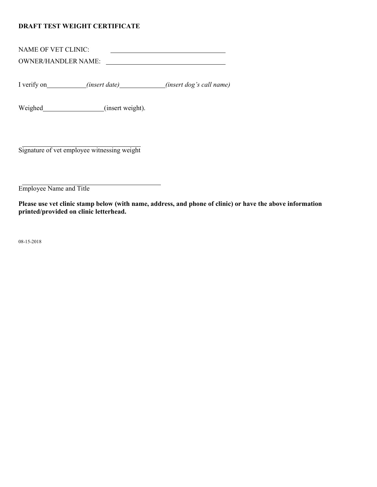### DRAFT TEST WEIGHT CERTIFICATE

NAME OF VET CLINIC: 

OWNER/HANDLER NAME:

I verify on *(insert date) (insert date) (insert dog's call name)* 

Weighed (insert weight).

Signature of vet employee witnessing weight

Employee Name and Title

Please use vet clinic stamp below (with name, address, and phone of clinic) or have the above information printed/provided on clinic letterhead.

08-15-2018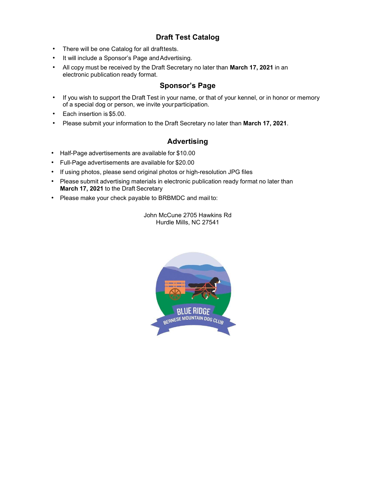# Draft Test Catalog

- There will be one Catalog for all drafttests.
- It will include a Sponsor's Page and Advertising.
- All copy must be received by the Draft Secretary no later than March 17, 2021 in an electronic publication ready format.

## Sponsor's Page

- If you wish to support the Draft Test in your name, or that of your kennel, or in honor or memory of a special dog or person, we invite your participation.
- Each insertion is \$5.00.
- Please submit your information to the Draft Secretary no later than March 17, 2021.

## Advertising

- Half-Page advertisements are available for \$10.00
- Full-Page advertisements are available for \$20.00
- If using photos, please send original photos or high-resolution JPG files
- Please submit advertising materials in electronic publication ready format no later than March 17, 2021 to the Draft Secretary
- Please make your check payable to BRBMDC and mail to:

John McCune 2705 Hawkins Rd Hurdle Mills, NC 27541